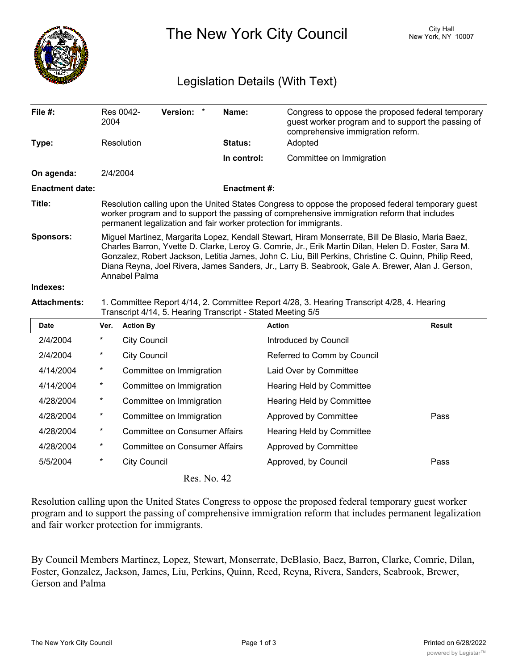

The New York City Council New York, NY 10007

## Legislation Details (With Text)

| File #:                | Res 0042-<br>2004                                                                                                                                                                                                                                                                                                                                                                                                                    | <b>Version:</b> | Name:          | Congress to oppose the proposed federal temporary<br>guest worker program and to support the passing of<br>comprehensive immigration reform. |  |  |  |
|------------------------|--------------------------------------------------------------------------------------------------------------------------------------------------------------------------------------------------------------------------------------------------------------------------------------------------------------------------------------------------------------------------------------------------------------------------------------|-----------------|----------------|----------------------------------------------------------------------------------------------------------------------------------------------|--|--|--|
| Type:                  | Resolution                                                                                                                                                                                                                                                                                                                                                                                                                           |                 | <b>Status:</b> | Adopted                                                                                                                                      |  |  |  |
|                        |                                                                                                                                                                                                                                                                                                                                                                                                                                      |                 | In control:    | Committee on Immigration                                                                                                                     |  |  |  |
| On agenda:             | 2/4/2004                                                                                                                                                                                                                                                                                                                                                                                                                             |                 |                |                                                                                                                                              |  |  |  |
| <b>Enactment date:</b> | <b>Enactment #:</b>                                                                                                                                                                                                                                                                                                                                                                                                                  |                 |                |                                                                                                                                              |  |  |  |
| Title:                 | Resolution calling upon the United States Congress to oppose the proposed federal temporary guest<br>worker program and to support the passing of comprehensive immigration reform that includes<br>permanent legalization and fair worker protection for immigrants.                                                                                                                                                                |                 |                |                                                                                                                                              |  |  |  |
| <b>Sponsors:</b>       | Miguel Martinez, Margarita Lopez, Kendall Stewart, Hiram Monserrate, Bill De Blasio, Maria Baez,<br>Charles Barron, Yvette D. Clarke, Leroy G. Comrie, Jr., Erik Martin Dilan, Helen D. Foster, Sara M.<br>Gonzalez, Robert Jackson, Letitia James, John C. Liu, Bill Perkins, Christine C. Quinn, Philip Reed,<br>Diana Reyna, Joel Rivera, James Sanders, Jr., Larry B. Seabrook, Gale A. Brewer, Alan J. Gerson,<br>Annabel Palma |                 |                |                                                                                                                                              |  |  |  |
| Indexes:               |                                                                                                                                                                                                                                                                                                                                                                                                                                      |                 |                |                                                                                                                                              |  |  |  |
| <b>Attachments:</b>    | 1. Committee Report 4/14, 2. Committee Report 4/28, 3. Hearing Transcript 4/28, 4. Hearing<br>Transcript 4/14, 5. Hearing Transcript - Stated Meeting 5/5                                                                                                                                                                                                                                                                            |                 |                |                                                                                                                                              |  |  |  |
| <b>Date</b>            | Ver. Action By                                                                                                                                                                                                                                                                                                                                                                                                                       |                 |                | <b>Action</b><br>Result                                                                                                                      |  |  |  |

| <b>Date</b> | Ver.     | <b>Action By</b>                     | <b>Action</b>                    | <b>Result</b> |
|-------------|----------|--------------------------------------|----------------------------------|---------------|
| 2/4/2004    | *        | <b>City Council</b>                  | Introduced by Council            |               |
| 2/4/2004    | *        | <b>City Council</b>                  | Referred to Comm by Council      |               |
| 4/14/2004   | $^\star$ | Committee on Immigration             | Laid Over by Committee           |               |
| 4/14/2004   | $^\ast$  | Committee on Immigration             | Hearing Held by Committee        |               |
| 4/28/2004   | $^\star$ | Committee on Immigration             | Hearing Held by Committee        |               |
| 4/28/2004   | $^\star$ | Committee on Immigration             | Approved by Committee            | Pass          |
| 4/28/2004   | *        | <b>Committee on Consumer Affairs</b> | <b>Hearing Held by Committee</b> |               |
| 4/28/2004   | *        | <b>Committee on Consumer Affairs</b> | Approved by Committee            |               |
| 5/5/2004    | *        | <b>City Council</b>                  | Approved, by Council             | Pass          |
|             |          | Res. No. 42                          |                                  |               |

Resolution calling upon the United States Congress to oppose the proposed federal temporary guest worker program and to support the passing of comprehensive immigration reform that includes permanent legalization and fair worker protection for immigrants.

By Council Members Martinez, Lopez, Stewart, Monserrate, DeBlasio, Baez, Barron, Clarke, Comrie, Dilan, Foster, Gonzalez, Jackson, James, Liu, Perkins, Quinn, Reed, Reyna, Rivera, Sanders, Seabrook, Brewer, Gerson and Palma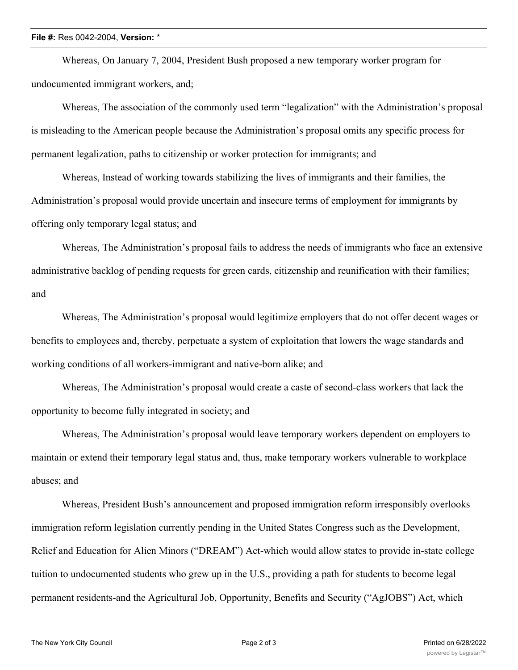## **File #:** Res 0042-2004, **Version:** \*

Whereas, On January 7, 2004, President Bush proposed a new temporary worker program for undocumented immigrant workers, and;

Whereas, The association of the commonly used term "legalization" with the Administration's proposal is misleading to the American people because the Administration's proposal omits any specific process for permanent legalization, paths to citizenship or worker protection for immigrants; and

Whereas, Instead of working towards stabilizing the lives of immigrants and their families, the Administration's proposal would provide uncertain and insecure terms of employment for immigrants by offering only temporary legal status; and

Whereas, The Administration's proposal fails to address the needs of immigrants who face an extensive administrative backlog of pending requests for green cards, citizenship and reunification with their families; and

Whereas, The Administration's proposal would legitimize employers that do not offer decent wages or benefits to employees and, thereby, perpetuate a system of exploitation that lowers the wage standards and working conditions of all workers-immigrant and native-born alike; and

Whereas, The Administration's proposal would create a caste of second-class workers that lack the opportunity to become fully integrated in society; and

Whereas, The Administration's proposal would leave temporary workers dependent on employers to maintain or extend their temporary legal status and, thus, make temporary workers vulnerable to workplace abuses; and

Whereas, President Bush's announcement and proposed immigration reform irresponsibly overlooks immigration reform legislation currently pending in the United States Congress such as the Development, Relief and Education for Alien Minors ("DREAM") Act-which would allow states to provide in-state college tuition to undocumented students who grew up in the U.S., providing a path for students to become legal permanent residents-and the Agricultural Job, Opportunity, Benefits and Security ("AgJOBS") Act, which